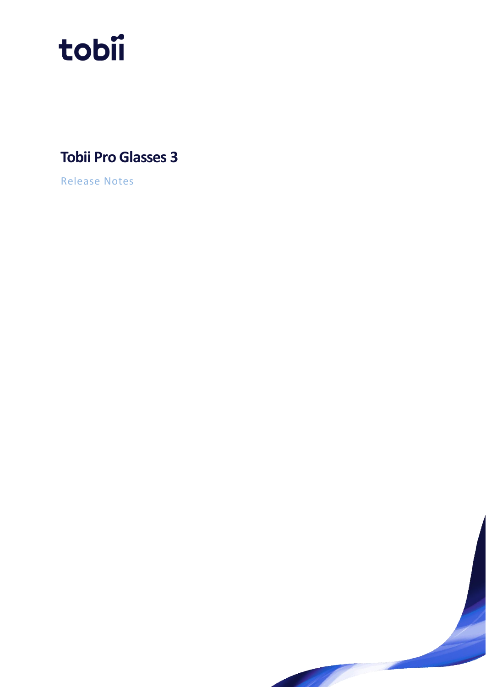

# **Tobii Pro Glasses 3**

Release Notes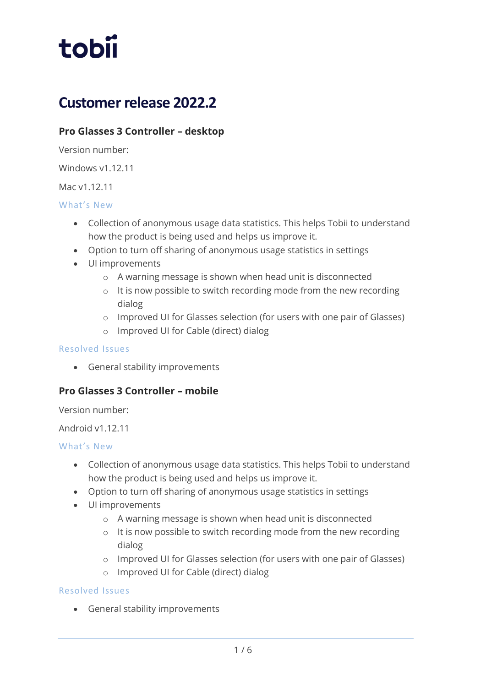

# **Customer release 2022.2**

# **Pro Glasses 3 Controller – desktop**

Version number:

Windows v1.12.11

Mac v1.12.11

## What's New

- Collection of anonymous usage data statistics. This helps Tobii to understand how the product is being used and helps us improve it.
- Option to turn off sharing of anonymous usage statistics in settings
- UI improvements
	- o A warning message is shown when head unit is disconnected
	- o It is now possible to switch recording mode from the new recording dialog
	- o Improved UI for Glasses selection (for users with one pair of Glasses)
	- o Improved UI for Cable (direct) dialog

## Resolved Issues

• General stability improvements

# **Pro Glasses 3 Controller – mobile**

Version number:

# Android v1.12.11

## What's New

- Collection of anonymous usage data statistics. This helps Tobii to understand how the product is being used and helps us improve it.
- Option to turn off sharing of anonymous usage statistics in settings
- UI improvements
	- o A warning message is shown when head unit is disconnected
	- o It is now possible to switch recording mode from the new recording dialog
	- o Improved UI for Glasses selection (for users with one pair of Glasses)
	- o Improved UI for Cable (direct) dialog

## Resolved Issues

• General stability improvements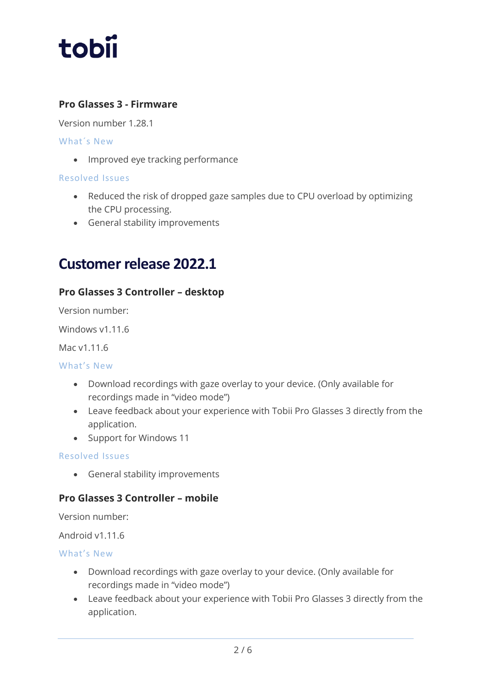

# **Pro Glasses 3 - Firmware**

Version number 1.28.1

What´s New

• Improved eye tracking performance

## Resolved Issues

- Reduced the risk of dropped gaze samples due to CPU overload by optimizing the CPU processing.
- General stability improvements

# **Customer release 2022.1**

# **Pro Glasses 3 Controller – desktop**

Version number:

Windows v1.11.6

Mac v1.11.6

#### What's New

- Download recordings with gaze overlay to your device. (Only available for recordings made in "video mode")
- Leave feedback about your experience with Tobii Pro Glasses 3 directly from the application.
- Support for Windows 11

#### Resolved Issues

• General stability improvements

# **Pro Glasses 3 Controller – mobile**

Version number:

Android v1.11.6

What's New

- Download recordings with gaze overlay to your device. (Only available for recordings made in "video mode")
- Leave feedback about your experience with Tobii Pro Glasses 3 directly from the application.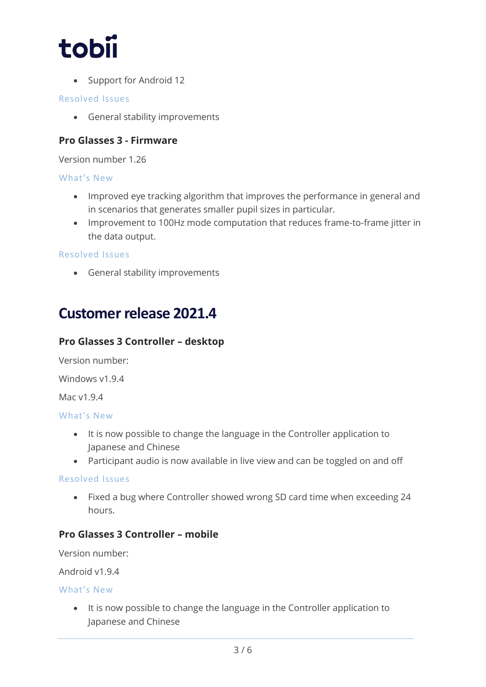

• Support for Android 12

## Resolved Issues

• General stability improvements

# **Pro Glasses 3 - Firmware**

Version number 1.26

## What's New

- Improved eye tracking algorithm that improves the performance in general and in scenarios that generates smaller pupil sizes in particular.
- Improvement to 100Hz mode computation that reduces frame-to-frame jitter in the data output.

### Resolved Issues

• General stability improvements

# **Customer release 2021.4**

# **Pro Glasses 3 Controller – desktop**

Version number:

Windows v1.9.4

Mac v1.9.4

#### What's New

- It is now possible to change the language in the Controller application to Japanese and Chinese
- Participant audio is now available in live view and can be toggled on and off

## Resolved Issues

• Fixed a bug where Controller showed wrong SD card time when exceeding 24 hours.

# **Pro Glasses 3 Controller – mobile**

Version number:

Android v1.9.4

#### What's New

• It is now possible to change the language in the Controller application to Japanese and Chinese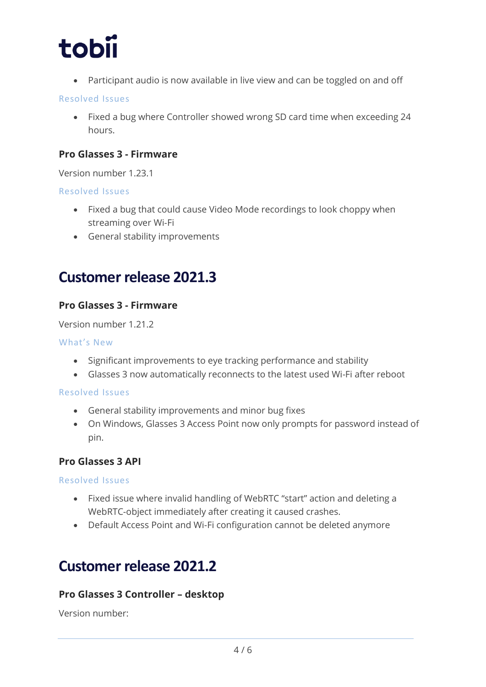

• Participant audio is now available in live view and can be toggled on and off

## Resolved Issues

• Fixed a bug where Controller showed wrong SD card time when exceeding 24 hours.

## **Pro Glasses 3 - Firmware**

Version number 1.23.1

### Resolved Issues

- Fixed a bug that could cause Video Mode recordings to look choppy when streaming over Wi-Fi
- General stability improvements

# **Customer release 2021.3**

# **Pro Glasses 3 - Firmware**

Version number 1.21.2

#### What's New

- Significant improvements to eye tracking performance and stability
- Glasses 3 now automatically reconnects to the latest used Wi-Fi after reboot

## Resolved Issues

- General stability improvements and minor bug fixes
- On Windows, Glasses 3 Access Point now only prompts for password instead of pin.

# **Pro Glasses 3 API**

## Resolved Issues

- Fixed issue where invalid handling of WebRTC "start" action and deleting a WebRTC-object immediately after creating it caused crashes.
- Default Access Point and Wi-Fi configuration cannot be deleted anymore

# **Customer release 2021.2**

# **Pro Glasses 3 Controller – desktop**

Version number: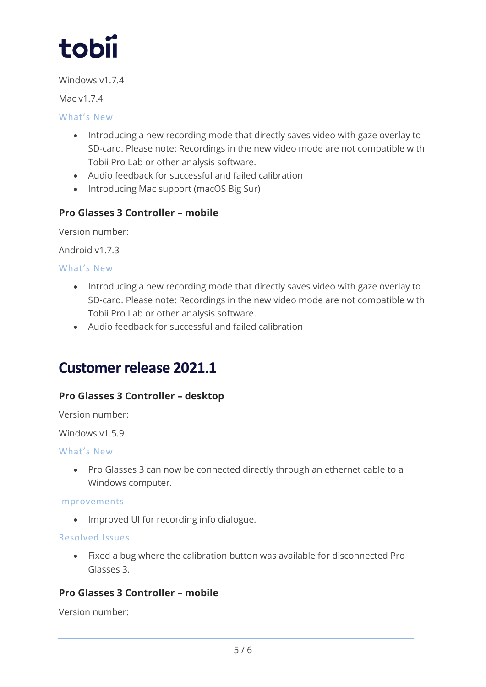

Windows v1.7.4

Mac v1.7.4

# What's New

- Introducing a new recording mode that directly saves video with gaze overlay to SD-card. Please note: Recordings in the new video mode are not compatible with Tobii Pro Lab or other analysis software.
- Audio feedback for successful and failed calibration
- Introducing Mac support (macOS Big Sur)

# **Pro Glasses 3 Controller – mobile**

Version number:

Android v1.7.3

What's New

- Introducing a new recording mode that directly saves video with gaze overlay to SD-card. Please note: Recordings in the new video mode are not compatible with Tobii Pro Lab or other analysis software.
- Audio feedback for successful and failed calibration

# **Customer release 2021.1**

# **Pro Glasses 3 Controller – desktop**

Version number:

Windows v1.5.9

## What's New

• Pro Glasses 3 can now be connected directly through an ethernet cable to a Windows computer.

#### Improvements

• Improved UI for recording info dialogue.

## Resolved Issues

• Fixed a bug where the calibration button was available for disconnected Pro Glasses 3.

# **Pro Glasses 3 Controller – mobile**

Version number: